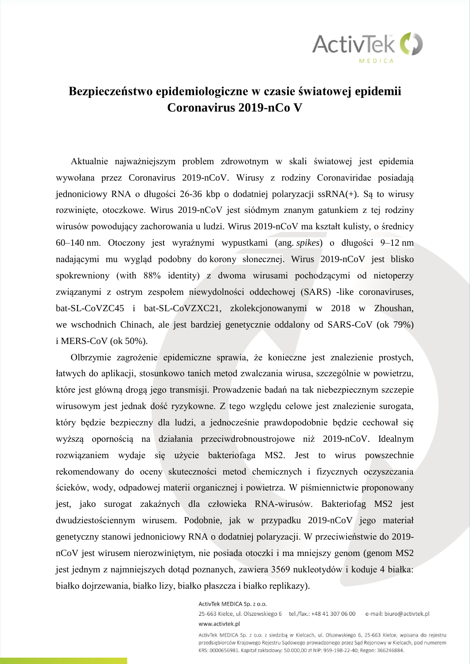

### **Bezpieczeństwo epidemiologiczne w czasie światowej epidemii Coronavirus 2019-nCo V**

Aktualnie najważniejszym problem zdrowotnym w skali światowej jest epidemia wywołana przez Coronavirus 2019-nCoV. Wirusy z rodziny Coronaviridae posiadają jednoniciowy RNA o długości 26-36 kbp o dodatniej polaryzacji ssRNA(+). Są to wirusy rozwinięte, otoczkowe. Wirus 2019-nCoV jest siódmym znanym gatunkiem z tej rodziny wirusów powodujący zachorowania u ludzi. Wirus 2019-nCoV ma kształt kulisty, o średnicy 60–140 nm. Otoczony jest wyraźnymi wypustkami [\(ang.](https://pl.wikipedia.org/wiki/J%C4%99zyk_angielski) *spikes*) o długości 9–12 nm nadającymi mu wygląd podobny do [korony słonecznej.](https://pl.wikipedia.org/wiki/Korona_s%C5%82oneczna) Wirus 2019-nCoV jest blisko spokrewniony (with 88% identity) z dwoma wirusami pochodzącymi od nietoperzy związanymi z ostrym zespołem niewydolności oddechowej (SARS) -like coronaviruses, bat-SL-CoVZC45 i bat-SL-CoVZXC21, zkolekcjonowanymi w 2018 w Zhoushan, we wschodnich Chinach, ale jest bardziej genetycznie oddalony od SARS-CoV (ok 79%) i MERS-CoV (ok 50%).

Olbrzymie zagrożenie epidemiczne sprawia, że konieczne jest znalezienie prostych, łatwych do aplikacji, stosunkowo tanich metod zwalczania wirusa, szczególnie w powietrzu, które jest główną drogą jego transmisji. Prowadzenie badań na tak niebezpiecznym szczepie wirusowym jest jednak dość ryzykowne. Z tego względu celowe jest znalezienie surogata, który będzie bezpieczny dla ludzi, a jednocześnie prawdopodobnie będzie cechował się wyższą opornością na działania przeciwdrobnoustrojowe niż 2019-nCoV. Idealnym rozwiązaniem wydaje się użycie bakteriofaga MS2. Jest to wirus powszechnie rekomendowany do oceny skuteczności metod chemicznych i fizycznych oczyszczania ścieków, wody, odpadowej materii organicznej i powietrza. W piśmiennictwie proponowany jest, jako surogat zakaźnych dla człowieka RNA-wirusów. Bakteriofag MS2 jest dwudziestościennym wirusem. Podobnie, jak w przypadku 2019-nCoV jego materiał genetyczny stanowi jednoniciowy RNA o dodatniej polaryzacji. W przeciwieństwie do 2019 nCoV jest wirusem nierozwiniętym, nie posiada otoczki i ma mniejszy genom (genom MS2 jest jednym z najmniejszych dotąd poznanych, zawiera 3569 nukleotydów i koduje 4 białka: białko dojrzewania, białko lizy, białko płaszcza i białko replikazy).

ActivTek MEDICA Sp. z o.o.

25-663 Kielce, ul. Olszewskiego 6 tel./fax.: +48 41 307 06 00 e-mail: biuro@activtek.pl www.activtek.pl

ActivTek MEDICA Sp. z o.o. z siedzibą w Kielcach, ul. Olszewskiego 6, 25-663 Kielce, wpisana do rejestru przedsiębiorców Krajowego Rejestru Sądowego prowadzonego przez Sąd Rejonowy w Kielcach, pod numerem KRS: 0000656981. Kapitał zakładowy: 50.000,00 zł NIP: 959-198-22-40; Regon: 366246884.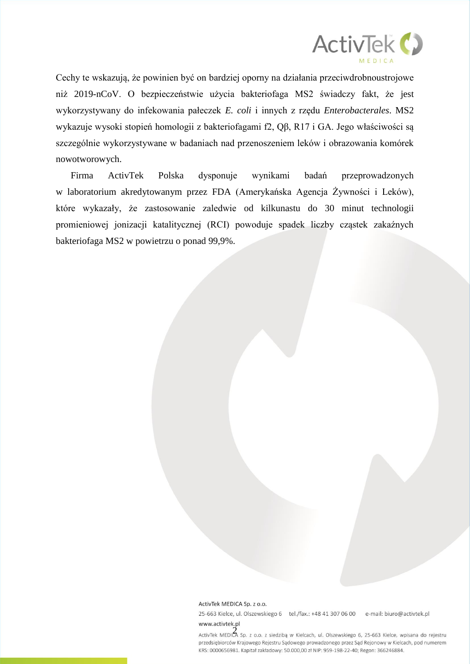

Cechy te wskazują, że powinien być on bardziej oporny na działania przeciwdrobnoustrojowe niż 2019-nCoV. O bezpieczeństwie użycia bakteriofaga MS2 świadczy fakt, że jest wykorzystywany do infekowania pałeczek *E. coli* i innych z rzędu *Enterobacterales*. MS2 wykazuje wysoki stopień homologii z bakteriofagami f2, Qβ, R17 i GA. Jego właściwości są szczególnie wykorzystywane w badaniach nad przenoszeniem leków i obrazowania komórek nowotworowych.

Firma ActivTek Polska dysponuje wynikami badań przeprowadzonych w laboratorium akredytowanym przez FDA (Amerykańska Agencja Żywności i Leków), które wykazały, że zastosowanie zaledwie od kilkunastu do 30 minut technologii promieniowej jonizacji katalitycznej (RCI) powoduje spadek liczby cząstek zakaźnych bakteriofaga MS2 w powietrzu o ponad 99,9%.

#### ActivTek MEDICA Sp. z o.o.

25-663 Kielce, ul. Olszewskiego 6 tel./fax.: +48 41 307 06 00 e-mail: biuro@activtek.pl

www.activtek.pl<br>ActivTek MEDICA Sp. z o.o. z siedzibą w Kielcach, ul. Olszewskiego 6, 25-663 Kielce, wpisana do rejestru przedsiębiorców Krajowego Rejestru Sądowego prowadzonego przez Sąd Rejonowy w Kielcach, pod numerem KRS: 0000656981. Kapitał zakładowy: 50.000,00 zł NIP: 959-198-22-40; Regon: 366246884.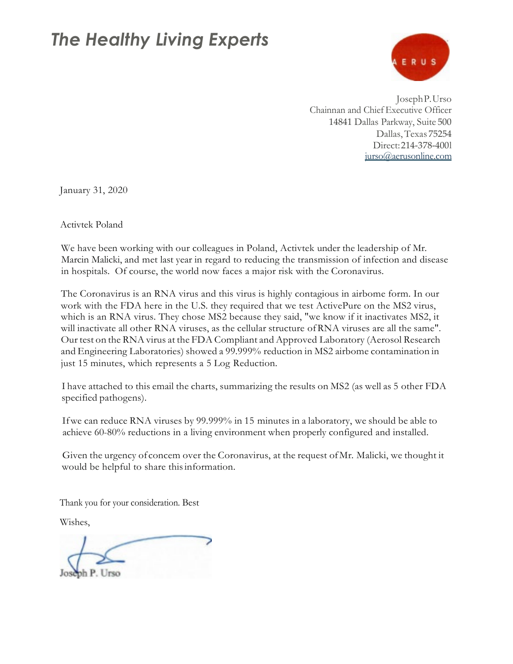### *The Healthy Living Experts*



JosephP.Urso Chainnan and Chief Executive Officer 14841 Dallas Parkway, Suite 500 Dallas,Texas 75254 Direct:214-378-400l [jurso@aerusonline.com](mailto:jurso@aerusonline.com)

January 31, 2020

Activtek Poland

We have been working with our colleagues in Poland, Activtek under the leadership of Mr. Marcin Malicki, and met last year in regard to reducing the transmission of infection and disease in hospitals. Of course, the world now faces a major risk with the Coronavirus.

The Coronavirus is an RNA virus and this virus is highly contagious in airbome form. In our work with the FDA here in the U.S. they required that we test ActivePure on the MS2 virus, which is an RNA virus. They chose MS2 because they said, "we know if it inactivates MS2, it will inactivate all other RNA viruses, as the cellular structure ofRNA viruses are all the same". Our test on the RNA virus at the FDA Compliant and Approved Laboratory (Aerosol Research and Engineering Laboratories) showed a 99.999% reduction in MS2 airbome contamination in just 15 minutes, which represents a 5 Log Reduction.

I have attached to this email the charts, summarizing the results on MS2 (as well as 5 other FDA specified pathogens).

Ifwe can reduce RNA viruses by 99.999% in 15 minutes in a laboratory, we should be able to achieve 60-80% reductions in a living environment when properly configured and installed.

Given the urgency of concem over the Coronavirus, at the request ofMr. Malicki, we thought it would be helpful to share thisinformation.

Thank you for your consideration. Best

Wishes,

Joseph P. Urso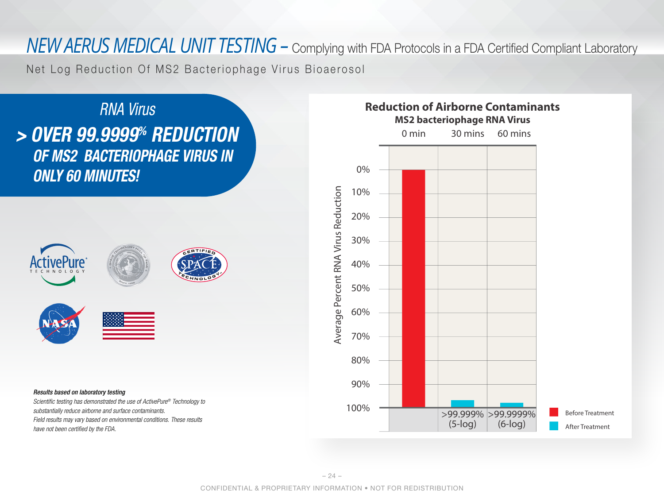Net Log Reduction Of MS2 Bacteriophage Virus Bioaerosol



*substantially reduce airborne and surface contaminants. Field results may vary based on environmental conditions. These results have not been certi*f*ed by the FDA.*

#### **Reduction of Airborne Contaminants MS2 bacteriophage RNA Virus**

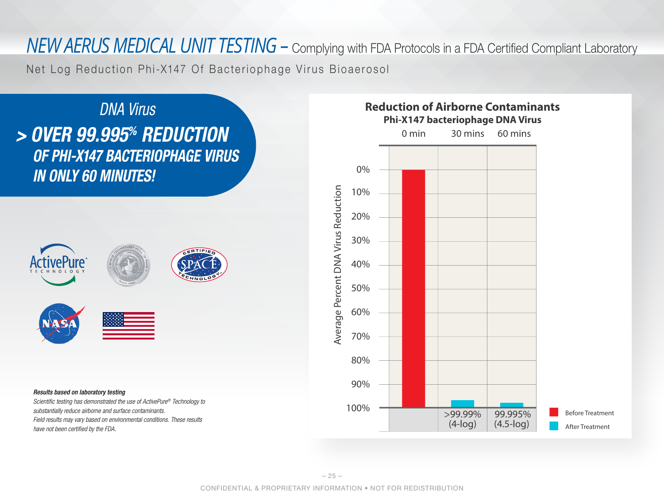Net Log Reduction Phi-X147 Of Bacteriophage Virus Bioaerosol



*Scienti*f*c testing has demonstrated the use of ActivePure® Technology to substantially reduce airborne and surface contaminants. Field results may vary based on environmental conditions. These results have not been certi*f*ed by the FDA.*

### **Reduction of Airborne Contaminants Phi-X147 bacteriophage DNA Virus**

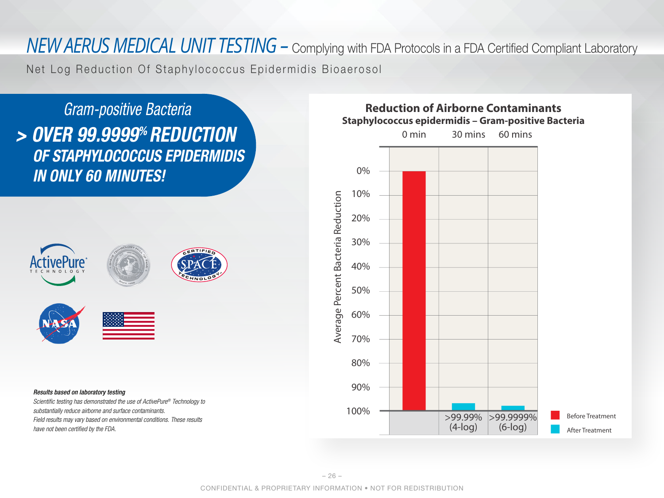Net Log Reduction Of Staphylococcus Epidermidis Bioaerosol

*> OVER 99.9999% REDUCTION OF STAPHYLOCOCCUS EPIDERMIDIS IN ONLY 60 MINUTES! Gram-positive Bacteria Results based on laboratory testing Scienti*f*c testing has demonstrated the use of ActivePure® Technology to* 

*substantially reduce airborne and surface contaminants. Field results may vary based on environmental conditions. These results have not been certi*f*ed by the FDA.*

### **Reduction of Airborne Contaminants Staphylococcus epidermidis – Gram-positive Bacteria**

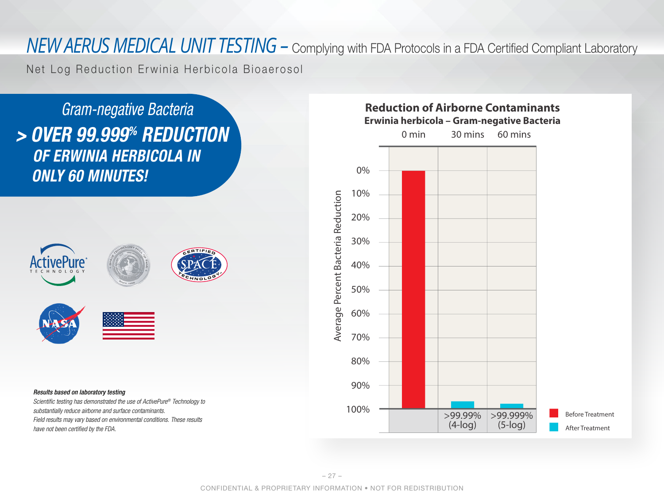Net Log Reduction Erwinia Herbicola Bioaerosol

*> OVER 99.999% REDUCTION OF ERWINIA HERBICOLA IN ONLY 60 MINUTES! Gram-negative Bacteria*



#### *Results based on laboratory testing*

*Scienti*f*c testing has demonstrated the use of ActivePure® Technology to substantially reduce airborne and surface contaminants. Field results may vary based on environmental conditions. These results have not been certi*f*ed by the FDA.*

#### **Reduction of Airborne Contaminants Erwinia herbicola – Gram-negative Bacteria**

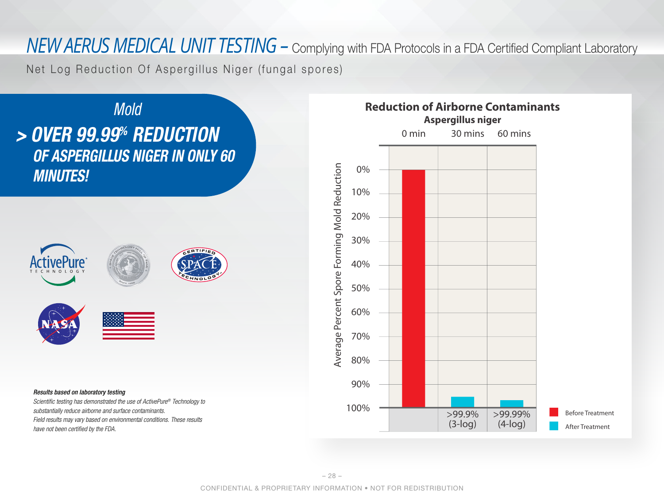Net Log Reduction Of Aspergillus Niger (fungal spores)



*Field results may vary based on environmental conditions. These results* 

*have not been certi*f*ed by the FDA.*

# **Reduction of Airborne Contaminants Aspergillus niger** 0 min 30 mins 60 mins